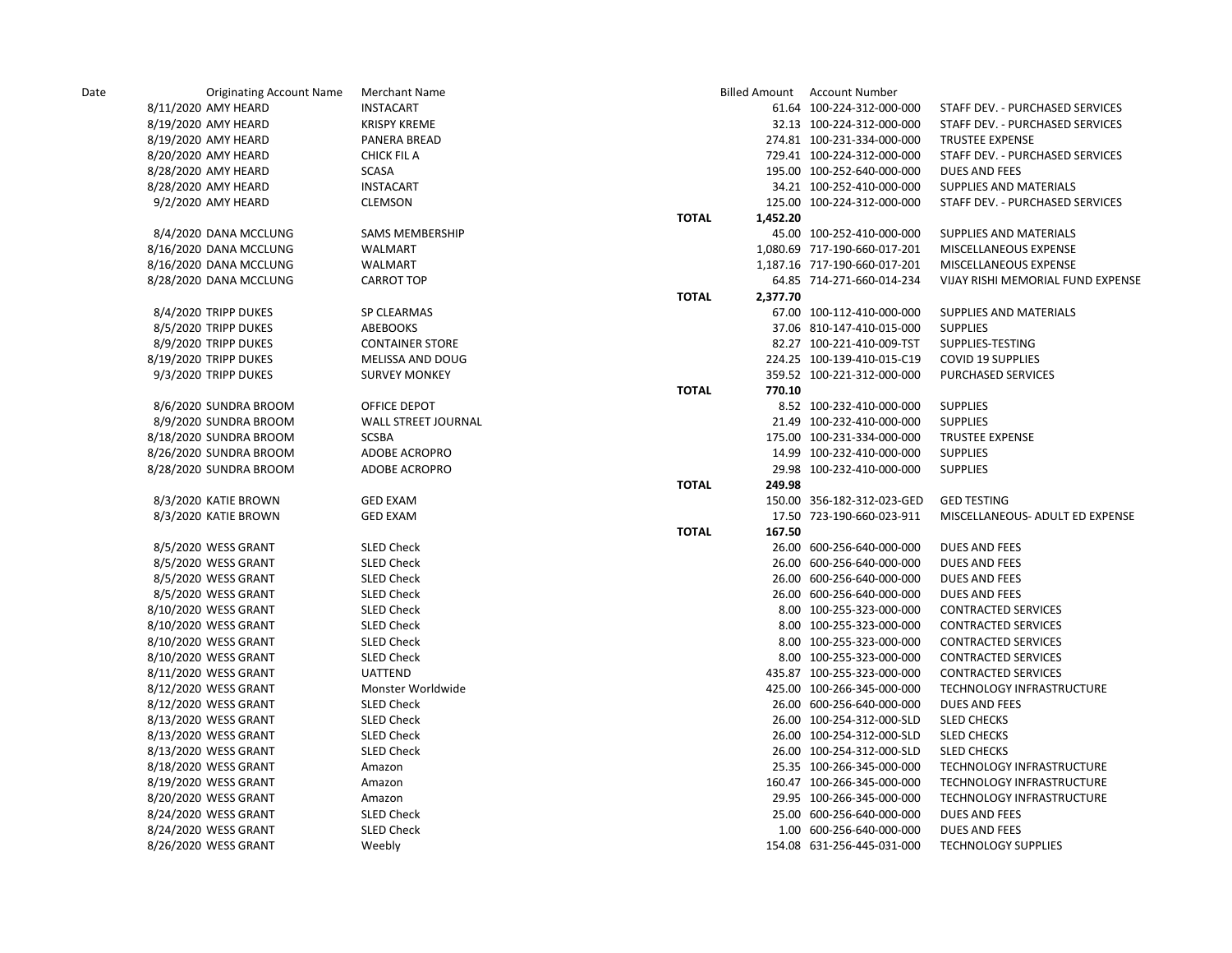| Date | <b>Originating Account Name</b> | Merchant Name          |              |          | Billed Amount Account Number |                                   |
|------|---------------------------------|------------------------|--------------|----------|------------------------------|-----------------------------------|
|      | 8/11/2020 AMY HEARD             | <b>INSTACART</b>       |              |          | 61.64 100-224-312-000-000    | STAFF DEV. - PURCHASED SERVICES   |
|      | 8/19/2020 AMY HEARD             | <b>KRISPY KREME</b>    |              |          | 32.13 100-224-312-000-000    | STAFF DEV. - PURCHASED SERVICES   |
|      | 8/19/2020 AMY HEARD             | PANERA BREAD           |              |          | 274.81 100-231-334-000-000   | <b>TRUSTEE EXPENSE</b>            |
|      | 8/20/2020 AMY HEARD             | CHICK FIL A            |              |          | 729.41 100-224-312-000-000   | STAFF DEV. - PURCHASED SERVICES   |
|      | 8/28/2020 AMY HEARD             | <b>SCASA</b>           |              |          | 195.00 100-252-640-000-000   | <b>DUES AND FEES</b>              |
|      | 8/28/2020 AMY HEARD             | <b>INSTACART</b>       |              |          | 34.21 100-252-410-000-000    | SUPPLIES AND MATERIALS            |
|      | 9/2/2020 AMY HEARD              | <b>CLEMSON</b>         |              |          | 125.00 100-224-312-000-000   | STAFF DEV. - PURCHASED SERVICES   |
|      |                                 |                        | <b>TOTAL</b> | 1,452.20 |                              |                                   |
|      | 8/4/2020 DANA MCCLUNG           | <b>SAMS MEMBERSHIP</b> |              |          | 45.00 100-252-410-000-000    | SUPPLIES AND MATERIALS            |
|      | 8/16/2020 DANA MCCLUNG          | <b>WALMART</b>         |              |          | 1,080.69 717-190-660-017-201 | MISCELLANEOUS EXPENSE             |
|      | 8/16/2020 DANA MCCLUNG          | WALMART                |              |          | 1,187.16 717-190-660-017-201 | MISCELLANEOUS EXPENSE             |
|      | 8/28/2020 DANA MCCLUNG          | <b>CARROT TOP</b>      |              |          | 64.85 714-271-660-014-234    | VIJAY RISHI MEMORIAL FUND EXPENSE |
|      |                                 |                        | <b>TOTAL</b> | 2,377.70 |                              |                                   |
|      | 8/4/2020 TRIPP DUKES            | <b>SP CLEARMAS</b>     |              |          | 67.00 100-112-410-000-000    | SUPPLIES AND MATERIALS            |
|      | 8/5/2020 TRIPP DUKES            | ABEBOOKS               |              |          | 37.06 810-147-410-015-000    | <b>SUPPLIES</b>                   |
|      | 8/9/2020 TRIPP DUKES            | <b>CONTAINER STORE</b> |              |          | 82.27 100-221-410-009-TST    | SUPPLIES-TESTING                  |
|      | 8/19/2020 TRIPP DUKES           | MELISSA AND DOUG       |              |          | 224.25 100-139-410-015-C19   | <b>COVID 19 SUPPLIES</b>          |
|      | 9/3/2020 TRIPP DUKES            | <b>SURVEY MONKEY</b>   |              |          | 359.52 100-221-312-000-000   | PURCHASED SERVICES                |
|      |                                 |                        | <b>TOTAL</b> | 770.10   |                              |                                   |
|      | 8/6/2020 SUNDRA BROOM           | OFFICE DEPOT           |              |          | 8.52 100-232-410-000-000     | <b>SUPPLIES</b>                   |
|      | 8/9/2020 SUNDRA BROOM           | WALL STREET JOURNAL    |              |          | 21.49 100-232-410-000-000    | <b>SUPPLIES</b>                   |
|      | 8/18/2020 SUNDRA BROOM          | <b>SCSBA</b>           |              |          | 175.00 100-231-334-000-000   | <b>TRUSTEE EXPENSE</b>            |
|      | 8/26/2020 SUNDRA BROOM          | ADOBE ACROPRO          |              |          | 14.99 100-232-410-000-000    | <b>SUPPLIES</b>                   |
|      | 8/28/2020 SUNDRA BROOM          | ADOBE ACROPRO          |              |          | 29.98 100-232-410-000-000    | <b>SUPPLIES</b>                   |
|      |                                 |                        | <b>TOTAL</b> | 249.98   |                              |                                   |
|      | 8/3/2020 KATIE BROWN            | <b>GED EXAM</b>        |              |          | 150.00 356-182-312-023-GED   | <b>GED TESTING</b>                |
|      | 8/3/2020 KATIE BROWN            | <b>GED EXAM</b>        |              |          | 17.50 723-190-660-023-911    | MISCELLANEOUS- ADULT ED EXPENSE   |
|      |                                 |                        | <b>TOTAL</b> | 167.50   |                              |                                   |
|      | 8/5/2020 WESS GRANT             | <b>SLED Check</b>      |              |          | 26.00 600-256-640-000-000    | <b>DUES AND FEES</b>              |
|      | 8/5/2020 WESS GRANT             | SLED Check             |              |          | 26.00 600-256-640-000-000    | DUES AND FEES                     |
|      | 8/5/2020 WESS GRANT             | SLED Check             |              |          | 26.00 600-256-640-000-000    | DUES AND FEES                     |
|      | 8/5/2020 WESS GRANT             | <b>SLED Check</b>      |              |          | 26.00 600-256-640-000-000    | <b>DUES AND FEES</b>              |
|      | 8/10/2020 WESS GRANT            | <b>SLED Check</b>      |              |          | 8.00 100-255-323-000-000     | <b>CONTRACTED SERVICES</b>        |
|      | 8/10/2020 WESS GRANT            | <b>SLED Check</b>      |              |          | 8.00 100-255-323-000-000     | <b>CONTRACTED SERVICES</b>        |
|      | 8/10/2020 WESS GRANT            | SLED Check             |              |          | 8.00 100-255-323-000-000     | <b>CONTRACTED SERVICES</b>        |
|      | 8/10/2020 WESS GRANT            | <b>SLED Check</b>      |              |          | 8.00 100-255-323-000-000     | <b>CONTRACTED SERVICES</b>        |
|      | 8/11/2020 WESS GRANT            | <b>UATTEND</b>         |              |          | 435.87 100-255-323-000-000   | <b>CONTRACTED SERVICES</b>        |
|      | 8/12/2020 WESS GRANT            | Monster Worldwide      |              |          | 425.00 100-266-345-000-000   | TECHNOLOGY INFRASTRUCTURE         |
|      | 8/12/2020 WESS GRANT            | <b>SLED Check</b>      |              |          | 26.00 600-256-640-000-000    | <b>DUES AND FEES</b>              |
|      | 8/13/2020 WESS GRANT            | SLED Check             |              |          | 26.00 100-254-312-000-SLD    | <b>SLED CHECKS</b>                |
|      | 8/13/2020 WESS GRANT            | <b>SLED Check</b>      |              |          | 26.00 100-254-312-000-SLD    | <b>SLED CHECKS</b>                |
|      | 8/13/2020 WESS GRANT            | <b>SLED Check</b>      |              |          | 26.00 100-254-312-000-SLD    | <b>SLED CHECKS</b>                |
|      | 8/18/2020 WESS GRANT            | Amazon                 |              |          | 25.35 100-266-345-000-000    | TECHNOLOGY INFRASTRUCTURE         |
|      | 8/19/2020 WESS GRANT            | Amazon                 |              |          | 160.47 100-266-345-000-000   | TECHNOLOGY INFRASTRUCTURE         |
|      | 8/20/2020 WESS GRANT            | Amazon                 |              |          | 29.95 100-266-345-000-000    | TECHNOLOGY INFRASTRUCTURE         |
|      | 8/24/2020 WESS GRANT            | <b>SLED Check</b>      |              |          | 25.00 600-256-640-000-000    | DUES AND FEES                     |
|      | 8/24/2020 WESS GRANT            | <b>SLED Check</b>      |              |          | 1.00 600-256-640-000-000     | <b>DUES AND FEES</b>              |
|      | 8/26/2020 WESS GRANT            | Weebly                 |              |          | 154.08 631-256-445-031-000   | <b>TECHNOLOGY SUPPLIES</b>        |
|      |                                 |                        |              |          |                              |                                   |